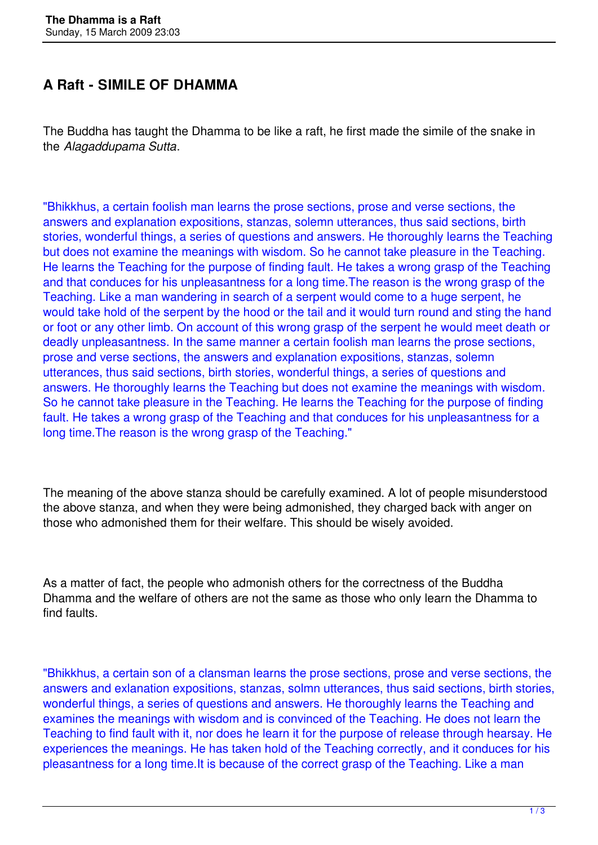## **A Raft - SIMILE OF DHAMMA**

The Buddha has taught the Dhamma to be like a raft, he first made the simile of the snake in the *Alagaddupama Sutta*.

"Bhikkhus, a certain foolish man learns the prose sections, prose and verse sections, the answers and explanation expositions, stanzas, solemn utterances, thus said sections, birth stories, wonderful things, a series of questions and answers. He thoroughly learns the Teaching but does not examine the meanings with wisdom. So he cannot take pleasure in the Teaching. He learns the Teaching for the purpose of finding fault. He takes a wrong grasp of the Teaching and that conduces for his unpleasantness for a long time.The reason is the wrong grasp of the Teaching. Like a man wandering in search of a serpent would come to a huge serpent, he would take hold of the serpent by the hood or the tail and it would turn round and sting the hand or foot or any other limb. On account of this wrong grasp of the serpent he would meet death or deadly unpleasantness. In the same manner a certain foolish man learns the prose sections, prose and verse sections, the answers and explanation expositions, stanzas, solemn utterances, thus said sections, birth stories, wonderful things, a series of questions and answers. He thoroughly learns the Teaching but does not examine the meanings with wisdom. So he cannot take pleasure in the Teaching. He learns the Teaching for the purpose of finding fault. He takes a wrong grasp of the Teaching and that conduces for his unpleasantness for a long time.The reason is the wrong grasp of the Teaching."

The meaning of the above stanza should be carefully examined. A lot of people misunderstood the above stanza, and when they were being admonished, they charged back with anger on those who admonished them for their welfare. This should be wisely avoided.

As a matter of fact, the people who admonish others for the correctness of the Buddha Dhamma and the welfare of others are not the same as those who only learn the Dhamma to find faults.

"Bhikkhus, a certain son of a clansman learns the prose sections, prose and verse sections, the answers and exlanation expositions, stanzas, solmn utterances, thus said sections, birth stories, wonderful things, a series of questions and answers. He thoroughly learns the Teaching and examines the meanings with wisdom and is convinced of the Teaching. He does not learn the Teaching to find fault with it, nor does he learn it for the purpose of release through hearsay. He experiences the meanings. He has taken hold of the Teaching correctly, and it conduces for his pleasantness for a long time.It is because of the correct grasp of the Teaching. Like a man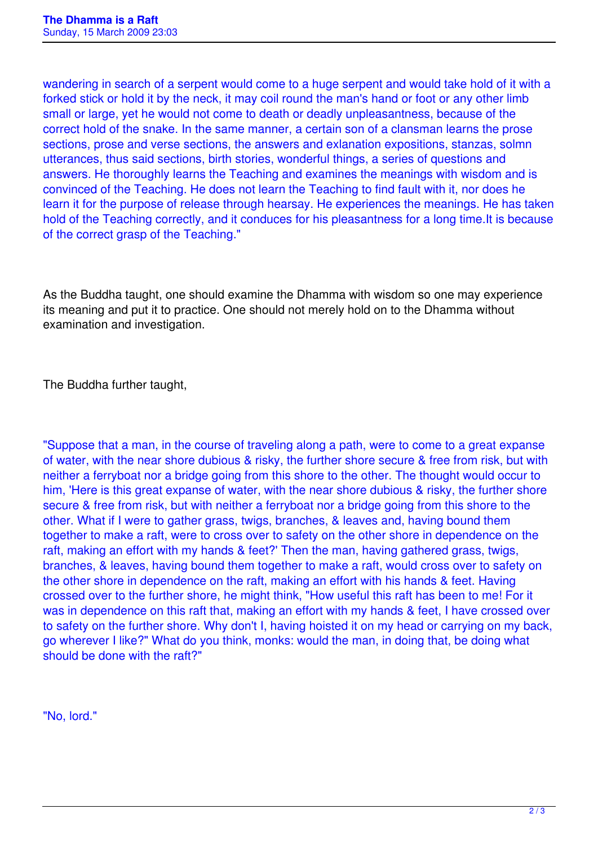wandering in search of a serpent would come to a huge serpent and would take hold of it with a forked stick or hold it by the neck, it may coil round the man's hand or foot or any other limb small or large, yet he would not come to death or deadly unpleasantness, because of the correct hold of the snake. In the same manner, a certain son of a clansman learns the prose sections, prose and verse sections, the answers and exlanation expositions, stanzas, solmn utterances, thus said sections, birth stories, wonderful things, a series of questions and answers. He thoroughly learns the Teaching and examines the meanings with wisdom and is convinced of the Teaching. He does not learn the Teaching to find fault with it, nor does he learn it for the purpose of release through hearsay. He experiences the meanings. He has taken hold of the Teaching correctly, and it conduces for his pleasantness for a long time.It is because of the correct grasp of the Teaching."

As the Buddha taught, one should examine the Dhamma with wisdom so one may experience its meaning and put it to practice. One should not merely hold on to the Dhamma without examination and investigation.

The Buddha further taught,

"Suppose that a man, in the course of traveling along a path, were to come to a great expanse of water, with the near shore dubious & risky, the further shore secure & free from risk, but with neither a ferryboat nor a bridge going from this shore to the other. The thought would occur to him, 'Here is this great expanse of water, with the near shore dubious & risky, the further shore secure & free from risk, but with neither a ferryboat nor a bridge going from this shore to the other. What if I were to gather grass, twigs, branches, & leaves and, having bound them together to make a raft, were to cross over to safety on the other shore in dependence on the raft, making an effort with my hands & feet?' Then the man, having gathered grass, twigs, branches, & leaves, having bound them together to make a raft, would cross over to safety on the other shore in dependence on the raft, making an effort with his hands & feet. Having crossed over to the further shore, he might think, "How useful this raft has been to me! For it was in dependence on this raft that, making an effort with my hands & feet, I have crossed over to safety on the further shore. Why don't I, having hoisted it on my head or carrying on my back, go wherever I like?" What do you think, monks: would the man, in doing that, be doing what should be done with the raft?"

"No, lord."